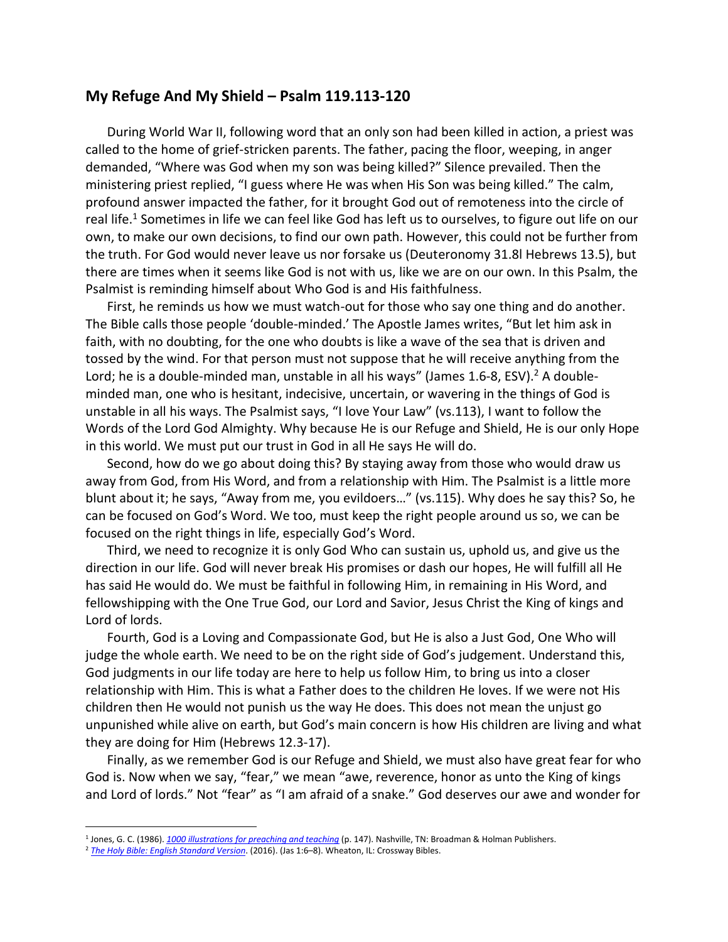## **My Refuge And My Shield – Psalm 119.113-120**

During World War II, following word that an only son had been killed in action, a priest was called to the home of grief-stricken parents. The father, pacing the floor, weeping, in anger demanded, "Where was God when my son was being killed?" Silence prevailed. Then the ministering priest replied, "I guess where He was when His Son was being killed." The calm, profound answer impacted the father, for it brought God out of remoteness into the circle of real life.<sup>1</sup> Sometimes in life we can feel like God has left us to ourselves, to figure out life on our own, to make our own decisions, to find our own path. However, this could not be further from the truth. For God would never leave us nor forsake us (Deuteronomy 31.8l Hebrews 13.5), but there are times when it seems like God is not with us, like we are on our own. In this Psalm, the Psalmist is reminding himself about Who God is and His faithfulness.

First, he reminds us how we must watch-out for those who say one thing and do another. The Bible calls those people 'double-minded.' The Apostle James writes, "But let him ask in faith, with no doubting, for the one who doubts is like a wave of the sea that is driven and tossed by the wind. For that person must not suppose that he will receive anything from the Lord; he is a double-minded man, unstable in all his ways" (James 1.6-8, ESV).<sup>2</sup> A doubleminded man, one who is hesitant, indecisive, uncertain, or wavering in the things of God is unstable in all his ways. The Psalmist says, "I love Your Law" (vs.113), I want to follow the Words of the Lord God Almighty. Why because He is our Refuge and Shield, He is our only Hope in this world. We must put our trust in God in all He says He will do.

Second, how do we go about doing this? By staying away from those who would draw us away from God, from His Word, and from a relationship with Him. The Psalmist is a little more blunt about it; he says, "Away from me, you evildoers…" (vs.115). Why does he say this? So, he can be focused on God's Word. We too, must keep the right people around us so, we can be focused on the right things in life, especially God's Word.

Third, we need to recognize it is only God Who can sustain us, uphold us, and give us the direction in our life. God will never break His promises or dash our hopes, He will fulfill all He has said He would do. We must be faithful in following Him, in remaining in His Word, and fellowshipping with the One True God, our Lord and Savior, Jesus Christ the King of kings and Lord of lords.

Fourth, God is a Loving and Compassionate God, but He is also a Just God, One Who will judge the whole earth. We need to be on the right side of God's judgement. Understand this, God judgments in our life today are here to help us follow Him, to bring us into a closer relationship with Him. This is what a Father does to the children He loves. If we were not His children then He would not punish us the way He does. This does not mean the unjust go unpunished while alive on earth, but God's main concern is how His children are living and what they are doing for Him (Hebrews 12.3-17).

Finally, as we remember God is our Refuge and Shield, we must also have great fear for who God is. Now when we say, "fear," we mean "awe, reverence, honor as unto the King of kings and Lord of lords." Not "fear" as "I am afraid of a snake." God deserves our awe and wonder for

<sup>&</sup>lt;sup>1</sup> Jones, G. C. (1986). <u>[1000 illustrations for preaching and teaching](https://ref.ly/logosres/1000illsprchtch?ref=Page.p+147&off=627&ctx=Where+Was+God%3f%0a~During+World+War+II%2c+foll)</u> (p. 147). Nashville, TN: Broadman & Holman Publishers.

<sup>2</sup> *[The Holy Bible: English Standard Version](https://ref.ly/logosres/esv?ref=BibleESV.Jas1.6&off=2&ctx=ill+be+given+him.+6%C2%A0~But+m%EF%BB%BFlet+him+ask+in)*. (2016). (Jas 1:6–8). Wheaton, IL: Crossway Bibles.